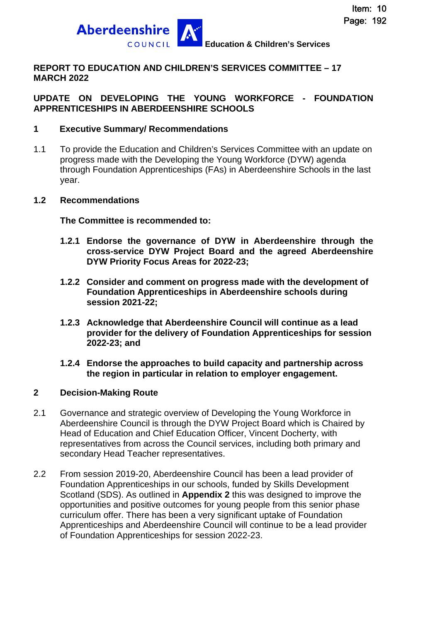

### **REPORT TO EDUCATION AND CHILDREN'S SERVICES COMMITTEE – 17 MARCH 2022**

### **UPDATE ON DEVELOPING THE YOUNG WORKFORCE - FOUNDATION APPRENTICESHIPS IN ABERDEENSHIRE SCHOOLS**

### **1 Executive Summary/ Recommendations**

1.1 To provide the Education and Children's Services Committee with an update on progress made with the Developing the Young Workforce (DYW) agenda through Foundation Apprenticeships (FAs) in Aberdeenshire Schools in the last year.

#### **1.2 Recommendations**

**The Committee is recommended to:** 

- **1.2.1 Endorse the governance of DYW in Aberdeenshire through the cross-service DYW Project Board and the agreed Aberdeenshire DYW Priority Focus Areas for 2022-23;**
- **1.2.2 Consider and comment on progress made with the development of Foundation Apprenticeships in Aberdeenshire schools during session 2021-22;**
- **1.2.3 Acknowledge that Aberdeenshire Council will continue as a lead provider for the delivery of Foundation Apprenticeships for session 2022-23; and**
- **1.2.4 Endorse the approaches to build capacity and partnership across the region in particular in relation to employer engagement.**

#### **2 Decision-Making Route**

- 2.1 Governance and strategic overview of Developing the Young Workforce in Aberdeenshire Council is through the DYW Project Board which is Chaired by Head of Education and Chief Education Officer, Vincent Docherty, with representatives from across the Council services, including both primary and secondary Head Teacher representatives.
- 2.2 From session 2019-20, Aberdeenshire Council has been a lead provider of Foundation Apprenticeships in our schools, funded by Skills Development Scotland (SDS). As outlined in **Appendix 2** this was designed to improve the opportunities and positive outcomes for young people from this senior phase curriculum offer. There has been a very significant uptake of Foundation Apprenticeships and Aberdeenshire Council will continue to be a lead provider of Foundation Apprenticeships for session 2022-23.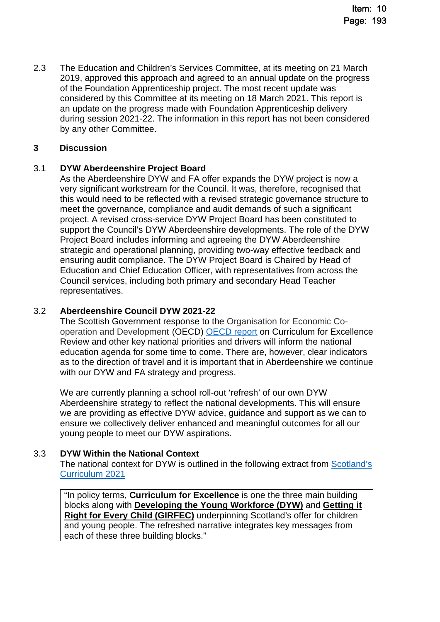2.3 The Education and Children's Services Committee, at its meeting on 21 March 2019, approved this approach and agreed to an annual update on the progress of the Foundation Apprenticeship project. The most recent update was considered by this Committee at its meeting on 18 March 2021. This report is an update on the progress made with Foundation Apprenticeship delivery during session 2021-22. The information in this report has not been considered by any other Committee.

### **3 Discussion**

### 3.1 **DYW Aberdeenshire Project Board**

As the Aberdeenshire DYW and FA offer expands the DYW project is now a very significant workstream for the Council. It was, therefore, recognised that this would need to be reflected with a revised strategic governance structure to meet the governance, compliance and audit demands of such a significant project. A revised cross-service DYW Project Board has been constituted to support the Council's DYW Aberdeenshire developments. The role of the DYW Project Board includes informing and agreeing the DYW Aberdeenshire strategic and operational planning, providing two-way effective feedback and ensuring audit compliance. The DYW Project Board is Chaired by Head of Education and Chief Education Officer, with representatives from across the Council services, including both primary and secondary Head Teacher representatives.

### 3.2 **Aberdeenshire Council DYW 2021-22**

The Scottish Government response to the Organisation for Economic Cooperation and Development (OECD) [OECD report](https://www.gov.scot/publications/oecd-review-of-curriculum-for-excellence-scottish-government-response/) on Curriculum for Excellence Review and other key national priorities and drivers will inform the national education agenda for some time to come. There are, however, clear indicators as to the direction of travel and it is important that in Aberdeenshire we continue with our DYW and FA strategy and progress.

We are currently planning a school roll-out 'refresh' of our own DYW Aberdeenshire strategy to reflect the national developments. This will ensure we are providing as effective DYW advice, guidance and support as we can to ensure we collectively deliver enhanced and meaningful outcomes for all our young people to meet our DYW aspirations.

### 3.3 **DYW Within the National Context**

The national context for DYW is outlined in the following extract from [Scotland's](https://scotlandscurriculum.scot/2/)  [Curriculum 2021](https://scotlandscurriculum.scot/2/)

"In policy terms, **Curriculum for Excellence** is one the three main building blocks along with **[Developing the Young Workforce \(DYW\)](https://www.gov.scot/publications/developing-young-workforce-scotlands-youth-employment-strategy/)** and **[Getting it](https://www.gov.scot/policies/girfec)  Right for Every Child (GIRFEC)** [underpinning Scotland's offer for children](https://www.gov.scot/policies/girfec)  and young people. The refreshed narrative integrates key messages from each of these three building blocks."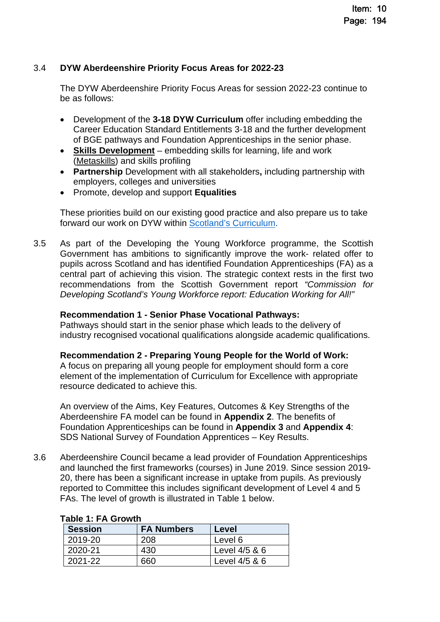### 3.4 **DYW Aberdeenshire Priority Focus Areas for 2022-23**

The DYW Aberdeenshire Priority Focus Areas for session 2022-23 continue to be as follows:

- Development of the **3-18 DYW Curriculum** offer including embedding the Career Education Standard Entitlements 3-18 and the further development of BGE pathways and Foundation Apprenticeships in the senior phase.
- **[Skills Development](https://www.skillsdevelopmentscotland.co.uk/media/44684/skills-40_a-skills-model.pdf)** embedding skills for learning, life and work [\(Metaskills](https://www.skillsdevelopmentscotland.co.uk/media/44684/skills-40_a-skills-model.pdf)) and skills profiling
- **Partnership** Development with all stakeholders**,** including partnership with employers, colleges and universities
- Promote, develop and support **Equalities**

These priorities build on our existing good practice and also prepare us to take forward our work on DYW within [Scotland's Curriculum.](https://scotlandscurriculum.scot/)

3.5 As part of the Developing the Young Workforce programme, the Scottish Government has ambitions to significantly improve the work- related offer to pupils across Scotland and has identified Foundation Apprenticeships (FA) as a central part of achieving this vision. The strategic context rests in the first two recommendations from the Scottish Government report *"Commission for Developing Scotland's Young Workforce report: Education Working for All!"*

### **Recommendation 1 - Senior Phase Vocational Pathways:**

Pathways should start in the senior phase which leads to the delivery of industry recognised vocational qualifications alongside academic qualifications.

### **Recommendation 2 - Preparing Young People for the World of Work:**

A focus on preparing all young people for employment should form a core element of the implementation of Curriculum for Excellence with appropriate resource dedicated to achieve this.

An overview of the Aims, Key Features, Outcomes & Key Strengths of the Aberdeenshire FA model can be found in **Appendix 2**. The benefits of Foundation Apprenticeships can be found in **Appendix 3** and **Appendix 4**: SDS National Survey of Foundation Apprentices – Key Results.

3.6 Aberdeenshire Council became a lead provider of Foundation Apprenticeships and launched the first frameworks (courses) in June 2019. Since session 2019- 20, there has been a significant increase in uptake from pupils. As previously reported to Committee this includes significant development of Level 4 and 5 FAs. The level of growth is illustrated in Table 1 below.

| <b>Session</b> | <b>FA Numbers</b> | Level         |
|----------------|-------------------|---------------|
| 2019-20        | 208               | Level 6       |
| 2020-21        | 430               | Level 4/5 & 6 |
| 2021-22        | -660              | Level 4/5 & 6 |

### **Table 1: FA Growth**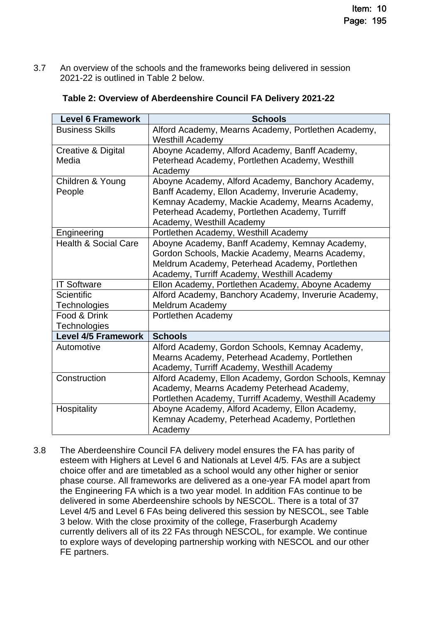3.7 An overview of the schools and the frameworks being delivered in session 2021-22 is outlined in Table 2 below.

| <b>Level 6 Framework</b>        | <b>Schools</b>                                                                 |
|---------------------------------|--------------------------------------------------------------------------------|
| <b>Business Skills</b>          | Alford Academy, Mearns Academy, Portlethen Academy,<br><b>Westhill Academy</b> |
| Creative & Digital              | Aboyne Academy, Alford Academy, Banff Academy,                                 |
| Media                           | Peterhead Academy, Portlethen Academy, Westhill                                |
|                                 | Academy                                                                        |
| Children & Young                | Aboyne Academy, Alford Academy, Banchory Academy,                              |
| People                          | Banff Academy, Ellon Academy, Inverurie Academy,                               |
|                                 | Kemnay Academy, Mackie Academy, Mearns Academy,                                |
|                                 | Peterhead Academy, Portlethen Academy, Turriff                                 |
|                                 | Academy, Westhill Academy                                                      |
| Engineering                     | Portlethen Academy, Westhill Academy                                           |
| <b>Health &amp; Social Care</b> | Aboyne Academy, Banff Academy, Kemnay Academy,                                 |
|                                 | Gordon Schools, Mackie Academy, Mearns Academy,                                |
|                                 | Meldrum Academy, Peterhead Academy, Portlethen                                 |
|                                 | Academy, Turriff Academy, Westhill Academy                                     |
| <b>IT Software</b>              | Ellon Academy, Portlethen Academy, Aboyne Academy                              |
| <b>Scientific</b>               | Alford Academy, Banchory Academy, Inverurie Academy,                           |
| Technologies                    | Meldrum Academy                                                                |
| Food & Drink                    | Portlethen Academy                                                             |
| Technologies                    |                                                                                |
| <b>Level 4/5 Framework</b>      | <b>Schools</b>                                                                 |
| Automotive                      | Alford Academy, Gordon Schools, Kemnay Academy,                                |
|                                 | Mearns Academy, Peterhead Academy, Portlethen                                  |
|                                 | Academy, Turriff Academy, Westhill Academy                                     |
| Construction                    | Alford Academy, Ellon Academy, Gordon Schools, Kemnay                          |
|                                 | Academy, Mearns Academy Peterhead Academy,                                     |
|                                 | Portlethen Academy, Turriff Academy, Westhill Academy                          |
| Hospitality                     | Aboyne Academy, Alford Academy, Ellon Academy,                                 |
|                                 | Kemnay Academy, Peterhead Academy, Portlethen                                  |
|                                 | Academy                                                                        |

### **Table 2: Overview of Aberdeenshire Council FA Delivery 2021-22**

3.8 The Aberdeenshire Council FA delivery model ensures the FA has parity of esteem with Highers at Level 6 and Nationals at Level 4/5. FAs are a subject choice offer and are timetabled as a school would any other higher or senior phase course. All frameworks are delivered as a one-year FA model apart from the Engineering FA which is a two year model. In addition FAs continue to be delivered in some Aberdeenshire schools by NESCOL. There is a total of 37 Level 4/5 and Level 6 FAs being delivered this session by NESCOL, see Table 3 below. With the close proximity of the college, Fraserburgh Academy currently delivers all of its 22 FAs through NESCOL, for example. We continue to explore ways of developing partnership working with NESCOL and our other FE partners.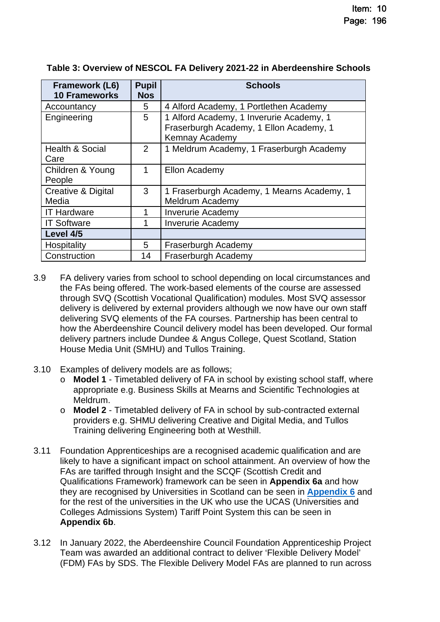| Framework (L6)<br><b>10 Frameworks</b> | <b>Pupil</b><br><b>Nos</b> | <b>Schools</b>                                                                                        |
|----------------------------------------|----------------------------|-------------------------------------------------------------------------------------------------------|
| Accountancy                            | 5                          | 4 Alford Academy, 1 Portlethen Academy                                                                |
| Engineering                            | 5                          | 1 Alford Academy, 1 Inverurie Academy, 1<br>Fraserburgh Academy, 1 Ellon Academy, 1<br>Kemnay Academy |
| <b>Health &amp; Social</b><br>Care     | $\overline{2}$             | 1 Meldrum Academy, 1 Fraserburgh Academy                                                              |
| Children & Young<br>People             | 1                          | Ellon Academy                                                                                         |
| Creative & Digital<br>Media            | 3                          | 1 Fraserburgh Academy, 1 Mearns Academy, 1<br>Meldrum Academy                                         |
| <b>IT Hardware</b>                     | 1                          | <b>Inverurie Academy</b>                                                                              |
| <b>IT Software</b>                     | 1                          | <b>Inverurie Academy</b>                                                                              |
| Level 4/5                              |                            |                                                                                                       |
| Hospitality                            | 5                          | Fraserburgh Academy                                                                                   |
| Construction                           | 14                         | Fraserburgh Academy                                                                                   |

### **Table 3: Overview of NESCOL FA Delivery 2021-22 in Aberdeenshire Schools**

- 3.9 FA delivery varies from school to school depending on local circumstances and the FAs being offered. The work-based elements of the course are assessed through SVQ (Scottish Vocational Qualification) modules. Most SVQ assessor delivery is delivered by external providers although we now have our own staff delivering SVQ elements of the FA courses. Partnership has been central to how the Aberdeenshire Council delivery model has been developed. Our formal delivery partners include Dundee & Angus College, Quest Scotland, Station House Media Unit (SMHU) and Tullos Training.
- 3.10 Examples of delivery models are as follows;
	- o **Model 1** Timetabled delivery of FA in school by existing school staff, where appropriate e.g. Business Skills at Mearns and Scientific Technologies at Meldrum.
	- o **Model 2** Timetabled delivery of FA in school by sub-contracted external providers e.g. SHMU delivering Creative and Digital Media, and Tullos Training delivering Engineering both at Westhill.
- 3.11 Foundation Apprenticeships are a recognised academic qualification and are likely to have a significant impact on school attainment. An overview of how the FAs are tariffed through Insight and the SCQF (Scottish Credit and Qualifications Framework) framework can be seen in **Appendix 6a** and how they are recognised by Universities in Scotland can be seen in **[Appendix 6](https://www.skillsdevelopmentscotland.co.uk/media/46393/foundation-apprenticeship-to-degree-opportunity-march2021-1.pdf)** and for the rest of the universities in the UK who use the UCAS (Universities and Colleges Admissions System) Tariff Point System this can be seen in **Appendix 6b**.
- 3.12 In January 2022, the Aberdeenshire Council Foundation Apprenticeship Project Team was awarded an additional contract to deliver 'Flexible Delivery Model' (FDM) FAs by SDS. The Flexible Delivery Model FAs are planned to run across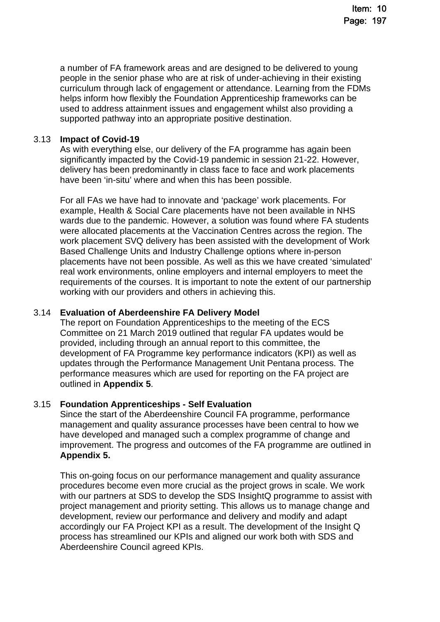a number of FA framework areas and are designed to be delivered to young people in the senior phase who are at risk of under-achieving in their existing curriculum through lack of engagement or attendance. Learning from the FDMs helps inform how flexibly the Foundation Apprenticeship frameworks can be used to address attainment issues and engagement whilst also providing a supported pathway into an appropriate positive destination.

### 3.13 **Impact of Covid-19**

As with everything else, our delivery of the FA programme has again been significantly impacted by the Covid-19 pandemic in session 21-22. However, delivery has been predominantly in class face to face and work placements have been 'in-situ' where and when this has been possible.

For all FAs we have had to innovate and 'package' work placements. For example, Health & Social Care placements have not been available in NHS wards due to the pandemic. However, a solution was found where FA students were allocated placements at the Vaccination Centres across the region. The work placement SVQ delivery has been assisted with the development of Work Based Challenge Units and Industry Challenge options where in-person placements have not been possible. As well as this we have created 'simulated' real work environments, online employers and internal employers to meet the requirements of the courses. It is important to note the extent of our partnership working with our providers and others in achieving this.

### 3.14 **Evaluation of Aberdeenshire FA Delivery Model**

The report on Foundation Apprenticeships to the meeting of the ECS Committee on 21 March 2019 outlined that regular FA updates would be provided, including through an annual report to this committee, the development of FA Programme key performance indicators (KPI) as well as updates through the Performance Management Unit Pentana process. The performance measures which are used for reporting on the FA project are outlined in **Appendix 5**.

### 3.15 **Foundation Apprenticeships - Self Evaluation**

Since the start of the Aberdeenshire Council FA programme, performance management and quality assurance processes have been central to how we have developed and managed such a complex programme of change and improvement. The progress and outcomes of the FA programme are outlined in **Appendix 5.**

This on-going focus on our performance management and quality assurance procedures become even more crucial as the project grows in scale. We work with our partners at SDS to develop the SDS InsightQ programme to assist with project management and priority setting. This allows us to manage change and development, review our performance and delivery and modify and adapt accordingly our FA Project KPI as a result. The development of the Insight Q process has streamlined our KPIs and aligned our work both with SDS and Aberdeenshire Council agreed KPIs.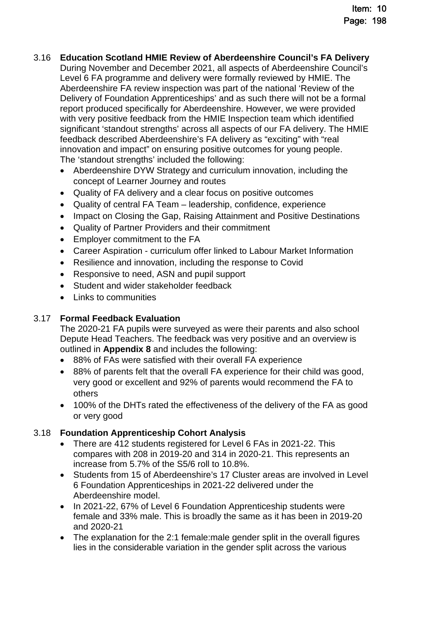- 3.16 **Education Scotland HMIE Review of Aberdeenshire Council's FA Delivery**  During November and December 2021, all aspects of Aberdeenshire Council's Level 6 FA programme and delivery were formally reviewed by HMIE. The Aberdeenshire FA review inspection was part of the national 'Review of the Delivery of Foundation Apprenticeships' and as such there will not be a formal report produced specifically for Aberdeenshire. However, we were provided with very positive feedback from the HMIE Inspection team which identified significant 'standout strengths' across all aspects of our FA delivery. The HMIE feedback described Aberdeenshire's FA delivery as "exciting" with "real innovation and impact" on ensuring positive outcomes for young people. The 'standout strengths' included the following:
	- Aberdeenshire DYW Strategy and curriculum innovation, including the concept of Learner Journey and routes
	- Quality of FA delivery and a clear focus on positive outcomes
	- Quality of central FA Team leadership, confidence, experience
	- Impact on Closing the Gap, Raising Attainment and Positive Destinations
	- Quality of Partner Providers and their commitment
	- Employer commitment to the FA
	- Career Aspiration curriculum offer linked to Labour Market Information
	- Resilience and innovation, including the response to Covid
	- Responsive to need, ASN and pupil support
	- Student and wider stakeholder feedback
	- $\bullet$  Links to communities

### 3.17 **Formal Feedback Evaluation**

The 2020-21 FA pupils were surveyed as were their parents and also school Depute Head Teachers. The feedback was very positive and an overview is outlined in **Appendix 8** and includes the following:

- 88% of FAs were satisfied with their overall FA experience
- 88% of parents felt that the overall FA experience for their child was good, very good or excellent and 92% of parents would recommend the FA to others
- 100% of the DHTs rated the effectiveness of the delivery of the FA as good or very good

### 3.18 **Foundation Apprenticeship Cohort Analysis**

- There are 412 students registered for Level 6 FAs in 2021-22. This compares with 208 in 2019-20 and 314 in 2020-21. This represents an increase from 5.7% of the S5/6 roll to 10.8%.
- Students from 15 of Aberdeenshire's 17 Cluster areas are involved in Level 6 Foundation Apprenticeships in 2021-22 delivered under the Aberdeenshire model.
- In 2021-22, 67% of Level 6 Foundation Apprenticeship students were female and 33% male. This is broadly the same as it has been in 2019-20 and 2020-21
- The explanation for the 2:1 female: male gender split in the overall figures lies in the considerable variation in the gender split across the various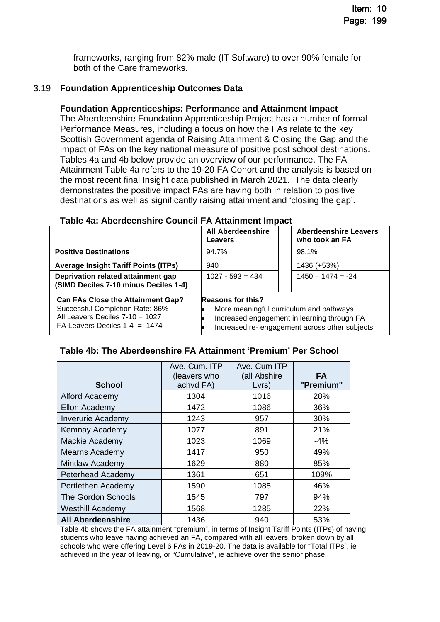frameworks, ranging from 82% male (IT Software) to over 90% female for both of the Care frameworks.

### 3.19 **Foundation Apprenticeship Outcomes Data**

### **Foundation Apprenticeships: Performance and Attainment Impact**

The Aberdeenshire Foundation Apprenticeship Project has a number of formal Performance Measures, including a focus on how the FAs relate to the key Scottish Government agenda of Raising Attainment & Closing the Gap and the impact of FAs on the key national measure of positive post school destinations. Tables 4a and 4b below provide an overview of our performance. The FA Attainment Table 4a refers to the 19-20 FA Cohort and the analysis is based on the most recent final Insight data published in March 2021. The data clearly demonstrates the positive impact FAs are having both in relation to positive destinations as well as significantly raising attainment and 'closing the gap'.

|                                                                                                                                                   | <b>All Aberdeenshire</b><br>Leavers | <b>Aberdeenshire Leavers</b><br>who took an FA                                                                                           |
|---------------------------------------------------------------------------------------------------------------------------------------------------|-------------------------------------|------------------------------------------------------------------------------------------------------------------------------------------|
| <b>Positive Destinations</b>                                                                                                                      | 94.7%                               | 98.1%                                                                                                                                    |
| <b>Average Insight Tariff Points (ITPs)</b>                                                                                                       | 940                                 | 1436 (+53%)                                                                                                                              |
| Deprivation related attainment gap<br>(SIMD Deciles 7-10 minus Deciles 1-4)                                                                       | $1027 - 593 = 434$                  | $1450 - 1474 = -24$                                                                                                                      |
| <b>Can FAs Close the Attainment Gap?</b><br>Successful Completion Rate: 86%<br>All Leavers Deciles 7-10 = 1027<br>FA Leavers Deciles $1-4 = 1474$ | <b>Reasons for this?</b>            | More meaningful curriculum and pathways<br>Increased engagement in learning through FA<br>Increased re- engagement across other subjects |

#### **Table 4a: Aberdeenshire Council FA Attainment Impact**

#### **Table 4b: The Aberdeenshire FA Attainment 'Premium' Per School**

| <b>School</b>             | Ave. Cum. ITP<br>(leavers who<br>achvd FA) | Ave. Cum ITP<br>(all Abshire<br>Lvrs) | <b>FA</b><br>"Premium" |
|---------------------------|--------------------------------------------|---------------------------------------|------------------------|
| <b>Alford Academy</b>     | 1304                                       | 1016                                  | 28%                    |
| Ellon Academy             | 1472                                       | 1086                                  | 36%                    |
| <b>Inverurie Academy</b>  | 1243                                       | 957                                   | 30%                    |
| Kemnay Academy            | 1077                                       | 891                                   | 21%                    |
| Mackie Academy            | 1023                                       | 1069                                  | $-4%$                  |
| Mearns Academy            | 1417                                       | 950                                   | 49%                    |
| Mintlaw Academy           | 1629                                       | 880                                   | 85%                    |
| Peterhead Academy         | 1361                                       | 651                                   | 109%                   |
| Portlethen Academy        | 1590                                       | 1085                                  | 46%                    |
| <b>The Gordon Schools</b> | 1545                                       | 797                                   | 94%                    |
| <b>Westhill Academy</b>   | 1568                                       | 1285                                  | 22%                    |
| <b>All Aberdeenshire</b>  | 1436                                       | 940                                   | 53%                    |

Table 4b shows the FA attainment "premium", in terms of Insight Tariff Points (ITPs) of having students who leave having achieved an FA, compared with all leavers, broken down by all schools who were offering Level 6 FAs in 2019-20. The data is available for "Total ITPs", ie achieved in the year of leaving, or "Cumulative", ie achieve over the senior phase.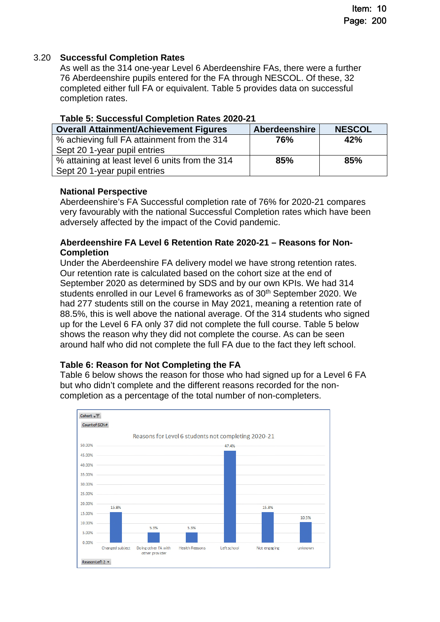### 3.20 **Successful Completion Rates**

As well as the 314 one-year Level 6 Aberdeenshire FAs, there were a further 76 Aberdeenshire pupils entered for the FA through NESCOL. Of these, 32 completed either full FA or equivalent. Table 5 provides data on successful completion rates.

| <b>Overall Attainment/Achievement Figures</b>   | <b>Aberdeenshire</b> | <b>NESCOL</b> |
|-------------------------------------------------|----------------------|---------------|
| % achieving full FA attainment from the 314     | 76%                  | 42%           |
| Sept 20 1-year pupil entries                    |                      |               |
| % attaining at least level 6 units from the 314 | 85%                  | 85%           |
| Sept 20 1-year pupil entries                    |                      |               |

### **Table 5: Successful Completion Rates 2020-21**

### **National Perspective**

Aberdeenshire's FA Successful completion rate of 76% for 2020-21 compares very favourably with the national Successful Completion rates which have been adversely affected by the impact of the Covid pandemic.

### **Aberdeenshire FA Level 6 Retention Rate 2020-21 – Reasons for Non-Completion**

Under the Aberdeenshire FA delivery model we have strong retention rates. Our retention rate is calculated based on the cohort size at the end of September 2020 as determined by SDS and by our own KPIs. We had 314 students enrolled in our Level 6 frameworks as of 30<sup>th</sup> September 2020. We had 277 students still on the course in May 2021, meaning a retention rate of 88.5%, this is well above the national average. Of the 314 students who signed up for the Level 6 FA only 37 did not complete the full course. Table 5 below shows the reason why they did not complete the course. As can be seen around half who did not complete the full FA due to the fact they left school.

### **Table 6: Reason for Not Completing the FA**

Table 6 below shows the reason for those who had signed up for a Level 6 FA but who didn't complete and the different reasons recorded for the noncompletion as a percentage of the total number of non-completers.

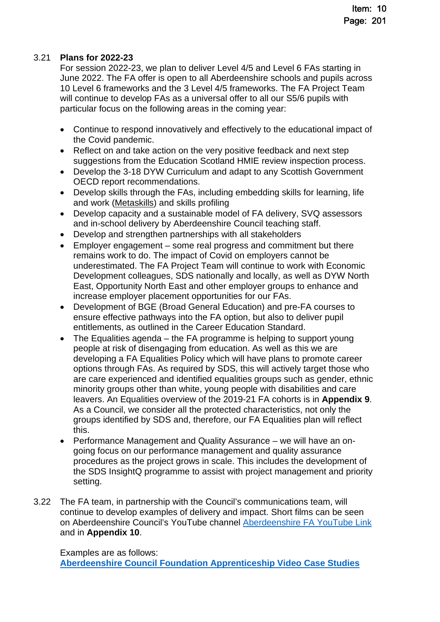### 3.21 **Plans for 2022-23**

For session 2022-23, we plan to deliver Level 4/5 and Level 6 FAs starting in June 2022. The FA offer is open to all Aberdeenshire schools and pupils across 10 Level 6 frameworks and the 3 Level 4/5 frameworks. The FA Project Team will continue to develop FAs as a universal offer to all our S5/6 pupils with particular focus on the following areas in the coming year:

- Continue to respond innovatively and effectively to the educational impact of the Covid pandemic.
- Reflect on and take action on the very positive feedback and next step suggestions from the Education Scotland HMIE review inspection process.
- Develop the 3-18 DYW Curriculum and adapt to any Scottish Government OECD report recommendations.
- Develop skills through the FAs, including embedding skills for learning, life and work [\(Metaskills](https://www.skillsdevelopmentscotland.co.uk/media/44684/skills-40_a-skills-model.pdf)) and skills profiling
- Develop capacity and a sustainable model of FA delivery, SVQ assessors and in-school delivery by Aberdeenshire Council teaching staff.
- Develop and strengthen partnerships with all stakeholders
- Employer engagement some real progress and commitment but there remains work to do. The impact of Covid on employers cannot be underestimated. The FA Project Team will continue to work with Economic Development colleagues, SDS nationally and locally, as well as DYW North East, Opportunity North East and other employer groups to enhance and increase employer placement opportunities for our FAs.
- Development of BGE (Broad General Education) and pre-FA courses to ensure effective pathways into the FA option, but also to deliver pupil entitlements, as outlined in the Career Education Standard.
- The Equalities agenda the FA programme is helping to support young people at risk of disengaging from education. As well as this we are developing a FA Equalities Policy which will have plans to promote career options through FAs. As required by SDS, this will actively target those who are care experienced and identified equalities groups such as gender, ethnic minority groups other than white, young people with disabilities and care leavers. An Equalities overview of the 2019-21 FA cohorts is in **Appendix 9**. As a Council, we consider all the protected characteristics, not only the groups identified by SDS and, therefore, our FA Equalities plan will reflect this.
- Performance Management and Quality Assurance we will have an ongoing focus on our performance management and quality assurance procedures as the project grows in scale. This includes the development of the SDS InsightQ programme to assist with project management and priority setting.
- 3.22 The FA team, in partnership with the Council's communications team, will continue to develop examples of delivery and impact. Short films can be seen on Aberdeenshire Council's YouTube channel [Aberdeenshire FA YouTube Link](https://www.youtube.com/playlist?list=PLO9F6fCTToNOJ3-EMq2b7qCYcDzhYAQlr) and in **Appendix 10**.

Examples are as follows:

**[Aberdeenshire Council Foundation Apprenticeship Video Case Studies](https://www.youtube.com/playlist?app=desktop&list=PLO9F6fCTToNOJ3-EMq2b7qCYcDzhYAQlr)**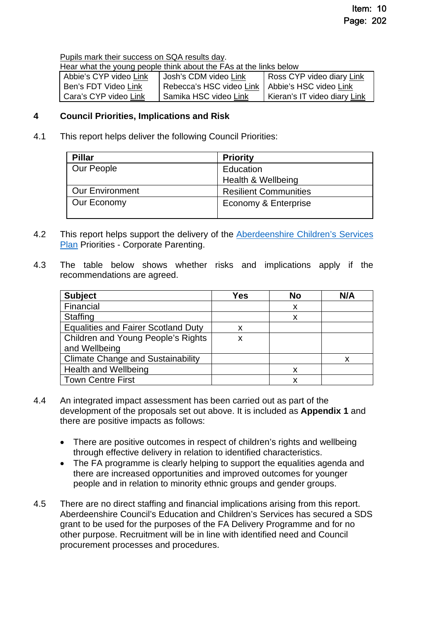[Pupils mark their success on SQA results day.](https://www.youtube.com/watch?v=Tnf2ZsjSUNY&list=PLO9F6fCTToNOJ3-EMq2b7qCYcDzhYAQlr&index=34)

Hear what the young people think about the FAs at the links below

| Abbie's CYP video Link | Uosh's CDM video Link                             | Ross CYP video diary Link    |
|------------------------|---------------------------------------------------|------------------------------|
| Ben's FDT Video Link   | Rebecca's HSC video Link   Abbie's HSC video Link |                              |
| Cara's CYP video Link  | Samika HSC video Link                             | Kieran's IT video diary Link |

### **4 Council Priorities, Implications and Risk**

4.1 This report helps deliver the following Council Priorities:

| <b>Pillar</b>          | <b>Priority</b>              |
|------------------------|------------------------------|
| Our People             | Education                    |
|                        | Health & Wellbeing           |
| <b>Our Environment</b> | <b>Resilient Communities</b> |
| Our Economy            | Economy & Enterprise         |

- 4.2 This report helps support the delivery of the Aberdeenshire Children's Services [Plan Priorities - Corporate Parenting.](https://www.girfec-aberdeenshire.org/about-girfec/our-childrens-services-plan/)
- 4.3 The table below shows whether risks and implications apply if the recommendations are agreed.

| <b>Subject</b>                             | Yes | No | N/A |
|--------------------------------------------|-----|----|-----|
| Financial                                  |     | x  |     |
| <b>Staffing</b>                            |     | x  |     |
| <b>Equalities and Fairer Scotland Duty</b> |     |    |     |
| Children and Young People's Rights         | X   |    |     |
| and Wellbeing                              |     |    |     |
| <b>Climate Change and Sustainability</b>   |     |    | X   |
| <b>Health and Wellbeing</b>                |     | X  |     |
| <b>Town Centre First</b>                   |     | x  |     |

- 4.4 An integrated impact assessment has been carried out as part of the development of the proposals set out above. It is included as **Appendix 1** and there are positive impacts as follows:
	- There are positive outcomes in respect of children's rights and wellbeing through effective delivery in relation to identified characteristics.
	- The FA programme is clearly helping to support the equalities agenda and there are increased opportunities and improved outcomes for younger people and in relation to minority ethnic groups and gender groups.
- 4.5 There are no direct staffing and financial implications arising from this report. Aberdeenshire Council's Education and Children's Services has secured a SDS grant to be used for the purposes of the FA Delivery Programme and for no other purpose. Recruitment will be in line with identified need and Council procurement processes and procedures.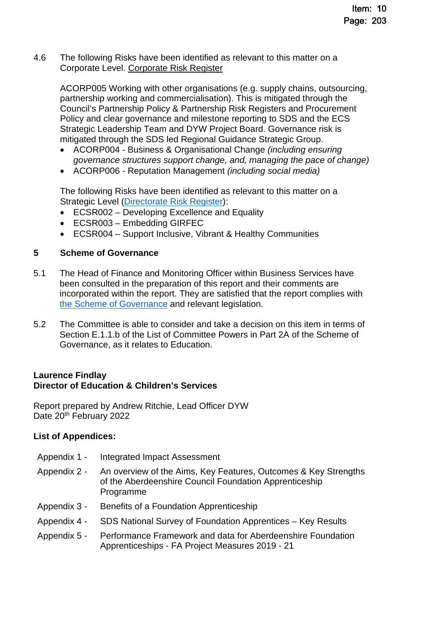4.6 The following Risks have been identified as relevant to this matter on a Corporate Level. [Corporate Risk Register](http://www.aberdeenshire.gov.uk/council-and-democracy/about-us/single-outcome-agreement-council-and-service-plans-and-reports/) 

ACORP005 Working with other organisations (e.g. supply chains, outsourcing, partnership working and commercialisation). This is mitigated through the Council's Partnership Policy & Partnership Risk Registers and Procurement Policy and clear governance and milestone reporting to SDS and the ECS Strategic Leadership Team and DYW Project Board. Governance risk is mitigated through the SDS led Regional Guidance Strategic Group.

- ACORP004 Business & Organisational Change *(including ensuring governance structures support change, and, managing the pace of change)*
- ACORP006 Reputation Management *(including social media)*

The following Risks have been identified as relevant to this matter on a Strategic Level [\(Directorate Risk Register\)](https://www.aberdeenshire.gov.uk/media/23596/20181128-directorate-risks.pdf):

- ECSR002 Developing Excellence and Equality
- ECSR003 Embedding GIRFEC
- ECSR004 Support Inclusive, Vibrant & Healthy Communities

### **5 Scheme of Governance**

- 5.1 The Head of Finance and Monitoring Officer within Business Services have been consulted in the preparation of this report and their comments are incorporated within the report. They are satisfied that the report complies with [the Scheme of Governance](https://www.aberdeenshire.gov.uk/council-and-democracy/scheme-of-governance/) and relevant legislation.
- 5.2 The Committee is able to consider and take a decision on this item in terms of Section E.1.1.b of the List of Committee Powers in Part 2A of the Scheme of Governance, as it relates to Education.

### **Laurence Findlay Director of Education & Children's Services**

Report prepared by Andrew Ritchie, Lead Officer DYW Date 20<sup>th</sup> February 2022

### **List of Appendices:**

- Appendix 1 Integrated Impact Assessment
- Appendix 2 An overview of the Aims, Key Features, Outcomes & Key Strengths of the Aberdeenshire Council Foundation Apprenticeship Programme
- Appendix 3 Benefits of a Foundation Apprenticeship
- Appendix 4 SDS National Survey of Foundation Apprentices Key Results
- Appendix 5 Performance Framework and data for Aberdeenshire Foundation Apprenticeships - FA Project Measures 2019 - 21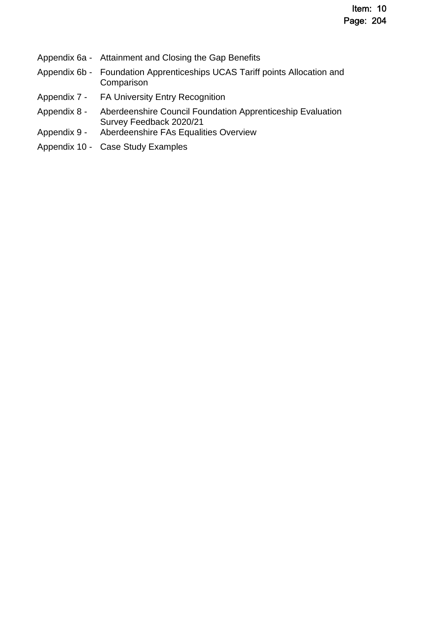- Appendix 6a Attainment and Closing the Gap Benefits
- Appendix 6b Foundation Apprenticeships UCAS Tariff points Allocation and Comparison
- Appendix 7 FA University Entry Recognition
- Appendix 8 Aberdeenshire Council Foundation Apprenticeship Evaluation Survey Feedback 2020/21
- Appendix 9 Aberdeenshire FAs Equalities Overview
- Appendix 10 Case Study Examples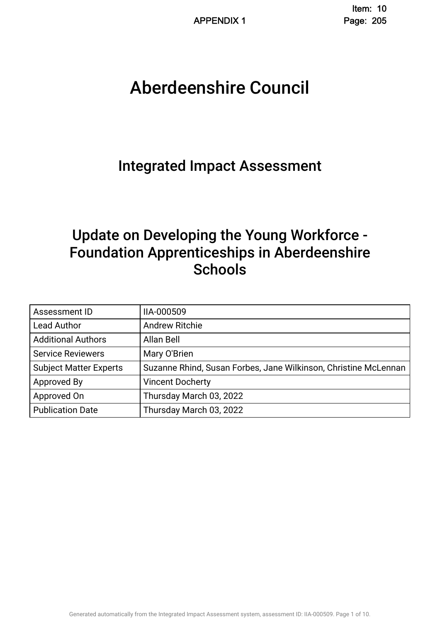# Aberdeenshire Council .

# Integrated Impact Assessment.

# Update on Developing the Young Workforce - Foundation Apprenticeships in Aberdeenshire **Schools**

| Assessment ID                 | IIA-000509                                                      |
|-------------------------------|-----------------------------------------------------------------|
| <b>Lead Author</b>            | <b>Andrew Ritchie</b>                                           |
| <b>Additional Authors</b>     | Allan Bell                                                      |
| <b>Service Reviewers</b>      | Mary O'Brien                                                    |
| <b>Subject Matter Experts</b> | Suzanne Rhind, Susan Forbes, Jane Wilkinson, Christine McLennan |
| Approved By                   | <b>Vincent Docherty</b>                                         |
| Approved On                   | Thursday March 03, 2022                                         |
| <b>Publication Date</b>       | Thursday March 03, 2022                                         |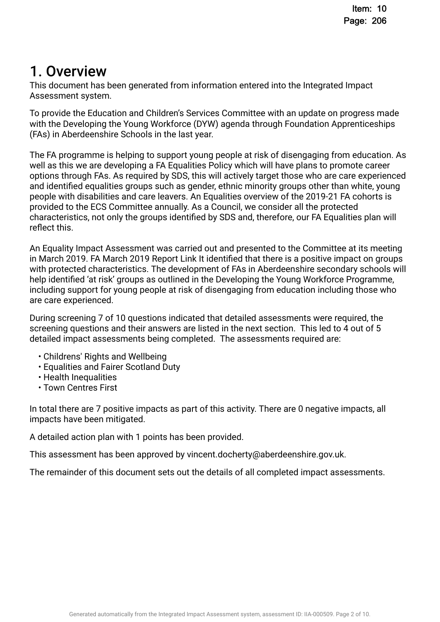# 1. Overview.

This document has been generated from information entered into the Integrated Impact Assessment system.

To provide the Education and Children's Services Committee with an update on progress made with the Developing the Young Workforce (DYW) agenda through Foundation Apprenticeships (FAs) in Aberdeenshire Schools in the last year.

The FA programme is helping to support young people at risk of disengaging from education. As well as this we are developing a FA Equalities Policy which will have plans to promote career options through FAs. As required by SDS, this will actively target those who are care experienced and identifed equalities groups such as gender, ethnic minority groups other than white, young people with disabilities and care leavers. An Equalities overview of the 2019-21 FA cohorts is provided to the ECS Committee annually. As a Council, we consider all the protected characteristics, not only the groups identifed by SDS and, therefore, our FA Equalities plan will reflect this.

An Equality Impact Assessment was carried out and presented to the Committee at its meeting in March 2019. FA March 2019 Report Link It identifed that there is a positive impact on groups with protected characteristics. The development of FAs in Aberdeenshire secondary schools will help identifed 'at risk' groups as outlined in the Developing the Young Workforce Programme, including support for young people at risk of disengaging from education including those who are care experienced.

During screening 7 of 10 questions indicated that detailed assessments were required, the screening questions and their answers are listed in the next section. This led to 4 out of 5 detailed impact assessments being completed. The assessments required are:

- Childrens' Rights and Wellbeing
- Equalities and Fairer Scotland Duty
- Health Inequalities
- Town Centres First

In total there are 7 positive impacts as part of this activity. There are 0 negative impacts, all impacts have been mitigated.

A detailed action plan with 1 points has been provided.

This assessment has been approved by vincent.docherty@aberdeenshire.gov.uk.

The remainder of this document sets out the details of all completed impact assessments.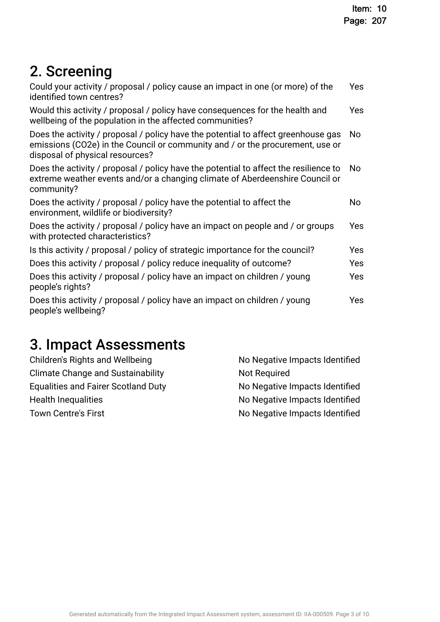# 2. Screening

| Could your activity / proposal / policy cause an impact in one (or more) of the<br>identified town centres?                                                                                           | Yes            |
|-------------------------------------------------------------------------------------------------------------------------------------------------------------------------------------------------------|----------------|
| Would this activity / proposal / policy have consequences for the health and<br>wellbeing of the population in the affected communities?                                                              | <b>Yes</b>     |
| Does the activity / proposal / policy have the potential to affect greenhouse gas<br>emissions (CO2e) in the Council or community and / or the procurement, use or<br>disposal of physical resources? | No             |
| Does the activity / proposal / policy have the potential to affect the resilience to<br>extreme weather events and/or a changing climate of Aberdeenshire Council or<br>community?                    | N <sub>o</sub> |
| Does the activity / proposal / policy have the potential to affect the<br>environment, wildlife or biodiversity?                                                                                      | No             |
| Does the activity / proposal / policy have an impact on people and / or groups<br>with protected characteristics?                                                                                     | Yes            |
| Is this activity / proposal / policy of strategic importance for the council?                                                                                                                         | Yes            |
| Does this activity / proposal / policy reduce inequality of outcome?                                                                                                                                  | Yes            |
| Does this activity / proposal / policy have an impact on children / young<br>people's rights?                                                                                                         | Yes            |
| Does this activity / proposal / policy have an impact on children / young<br>people's wellbeing?                                                                                                      | Yes            |
|                                                                                                                                                                                                       |                |

# 3. Impact Assessments

| No Negative Impacts Identified |
|--------------------------------|
| <b>Not Required</b>            |
| No Negative Impacts Identified |
| No Negative Impacts Identified |
| No Negative Impacts Identified |
|                                |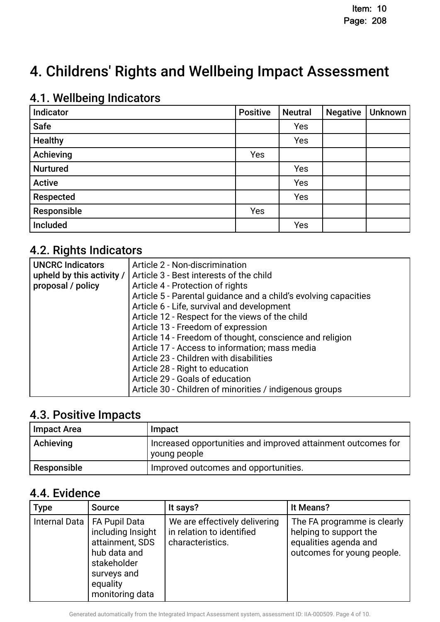# 4. Childrens' Rights and Wellbeing Impact Assessment

# 4.1. Wellbeing Indicators

| Indicator       | <b>Positive</b> | <b>Neutral</b> | <b>Negative</b> | Unknown |
|-----------------|-----------------|----------------|-----------------|---------|
| <b>Safe</b>     |                 | Yes            |                 |         |
| <b>Healthy</b>  |                 | Yes            |                 |         |
| Achieving       | Yes             |                |                 |         |
| <b>Nurtured</b> |                 | Yes            |                 |         |
| <b>Active</b>   |                 | Yes            |                 |         |
| Respected       |                 | Yes            |                 |         |
| Responsible     | Yes             |                |                 |         |
| Included        |                 | Yes            |                 |         |

## 4.2. Rights Indicators

| <b>UNCRC Indicators</b> | Article 2 - Non-discrimination                                            |
|-------------------------|---------------------------------------------------------------------------|
|                         | upheld by this activity / $\vert$ Article 3 - Best interests of the child |
| proposal / policy       | Article 4 - Protection of rights                                          |
|                         | Article 5 - Parental guidance and a child's evolving capacities           |
|                         | Article 6 - Life, survival and development                                |
|                         | Article 12 - Respect for the views of the child                           |
|                         | Article 13 - Freedom of expression                                        |
|                         | Article 14 - Freedom of thought, conscience and religion                  |
|                         | Article 17 - Access to information; mass media                            |
|                         | Article 23 - Children with disabilities                                   |
|                         | Article 28 - Right to education                                           |
|                         | Article 29 - Goals of education                                           |
|                         | Article 30 - Children of minorities / indigenous groups                   |

### 4.3. Positive Impacts

| Impact Area | Impact                                                                       |
|-------------|------------------------------------------------------------------------------|
| Achieving   | Increased opportunities and improved attainment outcomes for<br>young people |
| Responsible | Improved outcomes and opportunities.                                         |

### 4.4. Evidence

| <b>Type</b> | <b>Source</b>                                                                                                                                      | It says?                                                                       | It Means?                                                                                                    |
|-------------|----------------------------------------------------------------------------------------------------------------------------------------------------|--------------------------------------------------------------------------------|--------------------------------------------------------------------------------------------------------------|
|             | Internal Data   FA Pupil Data<br>including Insight<br>attainment, SDS<br>hub data and<br>stakeholder<br>surveys and<br>equality<br>monitoring data | We are effectively delivering<br>in relation to identified<br>characteristics. | The FA programme is clearly<br>helping to support the<br>equalities agenda and<br>outcomes for young people. |

Generated automatically from the Integrated Impact Assessment system, assessment ID: IIA-000509. Page 4 of 10.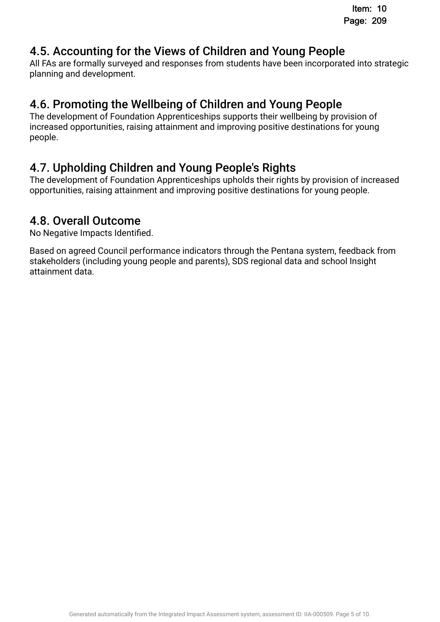## 4.5. Accounting for the Views of Children and Young People.

All FAs are formally surveyed and responses from students have been incorporated into strategic planning and development.

# 4.6. Promoting the Wellbeing of Children and Young People.

The development of Foundation Apprenticeships supports their wellbeing by provision of increased opportunities, raising attainment and improving positive destinations for young people.

# 4.7. Upholding Children and Young People's Rights.

The development of Foundation Apprenticeships upholds their rights by provision of increased opportunities, raising attainment and improving positive destinations for young people.

## 4.8. Overall Outcome.

No Negative Impacts Identifed.

Based on agreed Council performance indicators through the Pentana system, feedback from stakeholders (including young people and parents), SDS regional data and school Insight attainment data.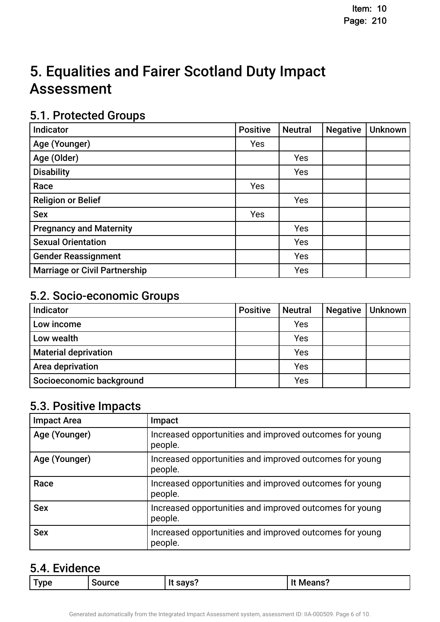# 5. Equalities and Fairer Scotland Duty Impact **Assessment**

## 5.1. Protected Groups

| Indicator                            | <b>Positive</b> | <b>Neutral</b> | <b>Negative</b> | <b>Unknown</b> |
|--------------------------------------|-----------------|----------------|-----------------|----------------|
| Age (Younger)                        | Yes             |                |                 |                |
| Age (Older)                          |                 | Yes            |                 |                |
| <b>Disability</b>                    |                 | Yes            |                 |                |
| Race                                 | Yes             |                |                 |                |
| <b>Religion or Belief</b>            |                 | Yes            |                 |                |
| <b>Sex</b>                           | Yes             |                |                 |                |
| <b>Pregnancy and Maternity</b>       |                 | Yes            |                 |                |
| <b>Sexual Orientation</b>            |                 | Yes            |                 |                |
| <b>Gender Reassignment</b>           |                 | Yes            |                 |                |
| <b>Marriage or Civil Partnership</b> |                 | Yes            |                 |                |

## 5.2. Socio-economic Groups

| Indicator                   | <b>Positive</b> | <b>Neutral</b> | <b>Negative</b> | Unknown |
|-----------------------------|-----------------|----------------|-----------------|---------|
| Low income                  |                 | Yes            |                 |         |
| Low wealth                  |                 | Yes            |                 |         |
| <b>Material deprivation</b> |                 | Yes            |                 |         |
| Area deprivation            |                 | Yes            |                 |         |
| Socioeconomic background    |                 | Yes            |                 |         |

# 5.3. Positive Impacts

| <b>Impact Area</b> | Impact                                                             |
|--------------------|--------------------------------------------------------------------|
| Age (Younger)      | Increased opportunities and improved outcomes for young<br>people. |
| Age (Younger)      | Increased opportunities and improved outcomes for young<br>people. |
| Race               | Increased opportunities and improved outcomes for young<br>people. |
| <b>Sex</b>         | Increased opportunities and improved outcomes for young<br>people. |
| <b>Sex</b>         | Increased opportunities and improved outcomes for young<br>people. |

### 5.4. Evidence

| $\sim$<br><b>VDP</b><br>IITCA<br>$  -$<br>$\sim$<br>. Me'<br>115.<br>.<br>_____ |
|---------------------------------------------------------------------------------|
|---------------------------------------------------------------------------------|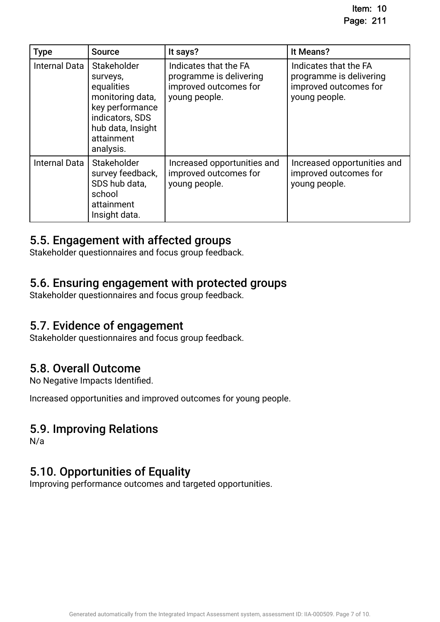| <b>Type</b>          | <b>Source</b>                                                                                                                                   | It says?                                                                                   | It Means?                                                                                  |
|----------------------|-------------------------------------------------------------------------------------------------------------------------------------------------|--------------------------------------------------------------------------------------------|--------------------------------------------------------------------------------------------|
| <b>Internal Data</b> | Stakeholder<br>surveys,<br>equalities<br>monitoring data,<br>key performance<br>indicators, SDS<br>hub data, Insight<br>attainment<br>analysis. | Indicates that the FA<br>programme is delivering<br>improved outcomes for<br>young people. | Indicates that the FA<br>programme is delivering<br>improved outcomes for<br>young people. |
| <b>Internal Data</b> | Stakeholder<br>survey feedback,<br>SDS hub data,<br>school<br>attainment<br>Insight data.                                                       | Increased opportunities and<br>improved outcomes for<br>young people.                      | Increased opportunities and<br>improved outcomes for<br>young people.                      |

### 5.5. Engagement with affected groups.

Stakeholder questionnaires and focus group feedback.

### 5.6. Ensuring engagement with protected groups.

Stakeholder questionnaires and focus group feedback.

### 5.7. Evidence of engagement.

Stakeholder questionnaires and focus group feedback.

### 5.8. Overall Outcome.

No Negative Impacts Identifed.

Increased opportunities and improved outcomes for young people.

### 5.9. Improving Relations

N/a

### 5.10. Opportunities of Equality.

Improving performance outcomes and targeted opportunities.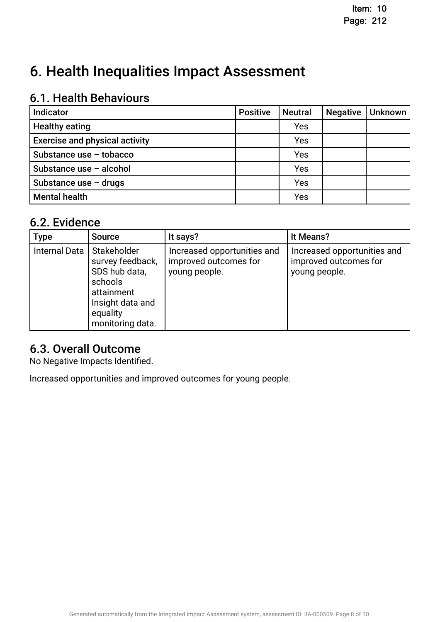# 6. Health Inequalities Impact Assessment

# 6.1. Health Behaviours

| Indicator                             | <b>Positive</b> | <b>Neutral</b> | <b>Negative</b> | <b>Unknown</b> |
|---------------------------------------|-----------------|----------------|-----------------|----------------|
| <b>Healthy eating</b>                 |                 | Yes            |                 |                |
| <b>Exercise and physical activity</b> |                 | Yes            |                 |                |
| Substance use - tobacco               |                 | Yes            |                 |                |
| Substance use - alcohol               |                 | Yes            |                 |                |
| Substance use $-$ drugs               |                 | Yes            |                 |                |
| <b>Mental health</b>                  |                 | Yes            |                 |                |

### 6.2. Evidence

| <b>Type</b>   | <b>Source</b>                                                                                                                   | It says?                                                              | It Means?                                                             |
|---------------|---------------------------------------------------------------------------------------------------------------------------------|-----------------------------------------------------------------------|-----------------------------------------------------------------------|
| Internal Data | l Stakeholder<br>survey feedback,<br>SDS hub data,<br>schools<br>attainment<br>Insight data and<br>equality<br>monitoring data. | Increased opportunities and<br>improved outcomes for<br>young people. | Increased opportunities and<br>improved outcomes for<br>young people. |

### 6.3. Overall Outcome.

No Negative Impacts Identifed.

Increased opportunities and improved outcomes for young people.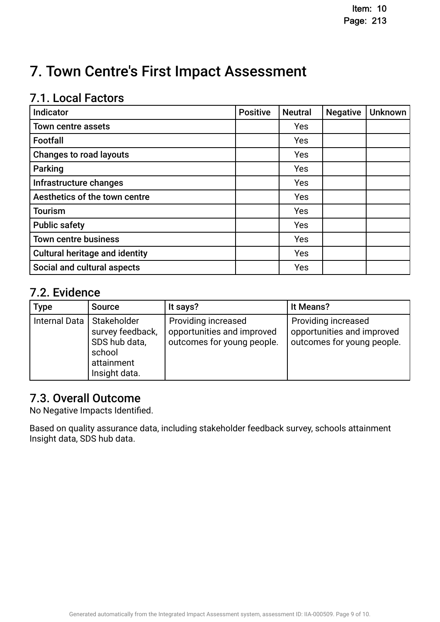# 7. Town Centre's First Impact Assessment

## 7.1. Local Factors

| Indicator                             | <b>Positive</b> | <b>Neutral</b> | <b>Negative</b> | <b>Unknown</b> |
|---------------------------------------|-----------------|----------------|-----------------|----------------|
| <b>Town centre assets</b>             |                 | Yes            |                 |                |
| Footfall                              |                 | Yes            |                 |                |
| <b>Changes to road layouts</b>        |                 | Yes            |                 |                |
| <b>Parking</b>                        |                 | Yes            |                 |                |
| Infrastructure changes                |                 | Yes            |                 |                |
| Aesthetics of the town centre         |                 | Yes            |                 |                |
| <b>Tourism</b>                        |                 | Yes            |                 |                |
| <b>Public safety</b>                  |                 | Yes            |                 |                |
| <b>Town centre business</b>           |                 | Yes            |                 |                |
| <b>Cultural heritage and identity</b> |                 | Yes            |                 |                |
| Social and cultural aspects           |                 | Yes            |                 |                |

## 7.2. Evidence

| <b>Type</b>                 | <b>Source</b>                                                              | It says?                                                                        | It Means?                                                                       |
|-----------------------------|----------------------------------------------------------------------------|---------------------------------------------------------------------------------|---------------------------------------------------------------------------------|
| Internal Data   Stakeholder | survey feedback,<br>SDS hub data,<br>school<br>attainment<br>Insight data. | Providing increased<br>opportunities and improved<br>outcomes for young people. | Providing increased<br>opportunities and improved<br>outcomes for young people. |

## 7.3. Overall Outcome

No Negative Impacts Identifed.

Based on quality assurance data, including stakeholder feedback survey, schools attainment Insight data, SDS hub data.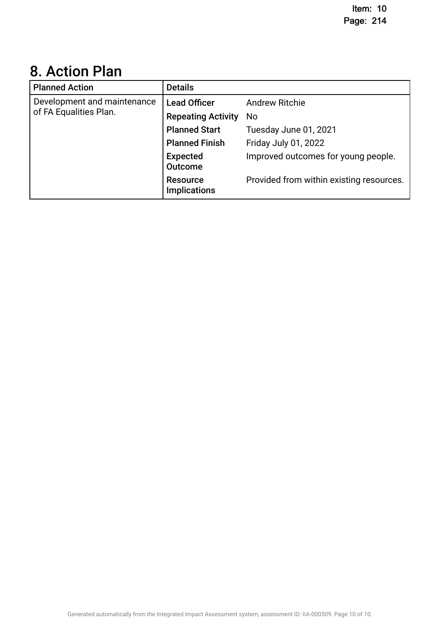# 8. Action Plan.

| <b>Planned Action</b>       | <b>Details</b>                         |                                          |
|-----------------------------|----------------------------------------|------------------------------------------|
| Development and maintenance | <b>Lead Officer</b>                    | <b>Andrew Ritchie</b>                    |
| of FA Equalities Plan.      | <b>Repeating Activity</b>              | No.                                      |
|                             | <b>Planned Start</b>                   | Tuesday June 01, 2021                    |
|                             | <b>Planned Finish</b>                  | Friday July 01, 2022                     |
|                             | <b>Expected</b><br><b>Outcome</b>      | Improved outcomes for young people.      |
|                             | <b>Resource</b><br><b>Implications</b> | Provided from within existing resources. |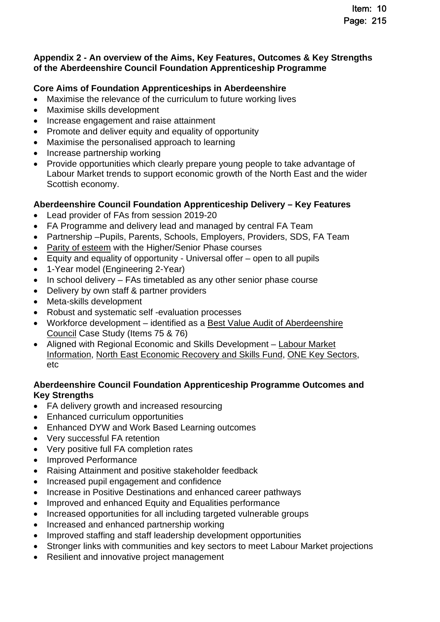### **Appendix 2 - An overview of the Aims, Key Features, Outcomes & Key Strengths of the Aberdeenshire Council Foundation Apprenticeship Programme**

### **Core Aims of Foundation Apprenticeships in Aberdeenshire**

- Maximise the relevance of the curriculum to future working lives
- Maximise skills development
- Increase engagement and raise attainment
- Promote and deliver equity and equality of opportunity
- Maximise the personalised approach to learning
- Increase partnership working
- Provide opportunities which clearly prepare young people to take advantage of Labour Market trends to support economic growth of the North East and the wider Scottish economy.

### **Aberdeenshire Council Foundation Apprenticeship Delivery – Key Features**

- Lead provider of FAs from session 2019-20
- FA Programme and delivery lead and managed by central FA Team
- Partnership –Pupils, Parents, Schools, Employers, Providers, SDS, FA Team
- [Parity of esteem](https://www.skillsdevelopmentscotland.co.uk/media/46393/foundation-apprenticeship-to-degree-opportunity-march2021-1.pdf) with the Higher/Senior Phase courses
- Equity and equality of opportunity Universal offer open to all pupils
- 1-Year model (Engineering 2-Year)
- $\bullet$  In school delivery FAs timetabled as any other senior phase course
- Delivery by own staff & partner providers
- Meta-skills development
- Robust and systematic self -evaluation processes
- Workforce development identified as a [Best Value Audit of Aberdeenshire](https://www.audit-scotland.gov.uk/uploads/docs/report/2020/bv_201022_aberdeenshire.pdf)  [Council Case Study \(Items 75 & 76\)](https://www.audit-scotland.gov.uk/uploads/docs/report/2020/bv_201022_aberdeenshire.pdf)
- [Aligned with Regional Economic and Skills Development Labour Market](https://www.skillsdevelopmentscotland.co.uk/media/47091/rsa-report-aberdeen-city-and-shire.pdf)  [Information,](https://www.skillsdevelopmentscotland.co.uk/media/47091/rsa-report-aberdeen-city-and-shire.pdf) [North East Economic Recovery and Skills Fund](https://www.skillsdevelopmentscotland.co.uk/news-events/2021/october/14m-programme-targets-new-jobs-and-economic-recovery-in-aberdeen-and-aberdeenshire/)[,](https://www.skillsdevelopmentscotland.co.uk/media/47091/rsa-report-aberdeen-city-and-shire.pdf) [ONE Key Sectors](https://www.opportunitynortheast.com/about)[,](https://www.skillsdevelopmentscotland.co.uk/media/47091/rsa-report-aberdeen-city-and-shire.pdf)  etc

### **Aberdeenshire Council Foundation Apprenticeship Programme Outcomes and Key Strengths**

- FA delivery growth and increased resourcing
- Enhanced curriculum opportunities
- Enhanced DYW and Work Based Learning outcomes
- Very successful FA retention
- Very positive full FA completion rates
- Improved Performance
- Raising Attainment and positive stakeholder feedback
- Increased pupil engagement and confidence
- Increase in Positive Destinations and enhanced career pathways
- Improved and enhanced Equity and Equalities performance
- Increased opportunities for all including targeted vulnerable groups
- Increased and enhanced partnership working
- Improved staffing and staff leadership development opportunities
- Stronger links with communities and key sectors to meet Labour Market projections
- Resilient and innovative project management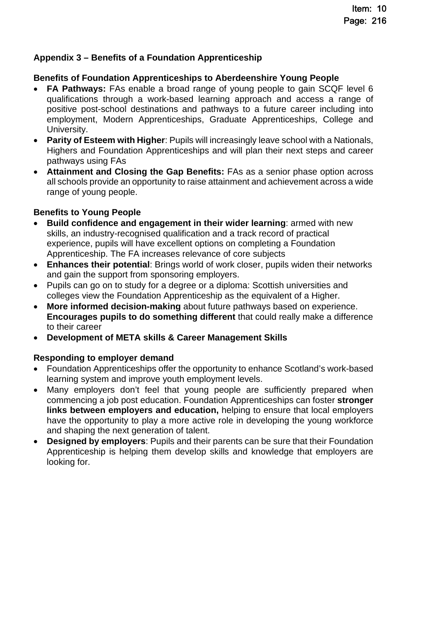### **Appendix 3 – Benefits of a Foundation Apprenticeship**

### **Benefits of Foundation Apprenticeships to Aberdeenshire Young People**

- **FA Pathways:** FAs enable a broad range of young people to gain SCQF level 6 qualifications through a work-based learning approach and access a range of positive post-school destinations and pathways to a future career including into employment, Modern Apprenticeships, Graduate Apprenticeships, College and University.
- **Parity of Esteem with Higher**: Pupils will increasingly leave school with a Nationals, Highers and Foundation Apprenticeships and will plan their next steps and career pathways using FAs
- **Attainment and Closing the Gap Benefits:** FAs as a senior phase option across all schools provide an opportunity to raise attainment and achievement across a wide range of young people.

### **Benefits to Young People**

- **Build confidence and engagement in their wider learning**: armed with new skills, an industry-recognised qualification and a track record of practical experience, pupils will have excellent options on completing a Foundation Apprenticeship. The FA increases relevance of core subjects
- **Enhances their potential**: Brings world of work closer, pupils widen their networks and gain the support from sponsoring employers.
- Pupils can go on to study for a degree or a diploma: Scottish universities and colleges view the Foundation Apprenticeship as the equivalent of a Higher.
- **More informed decision-making** about future pathways based on experience. **Encourages pupils to do something different** that could really make a difference to their career
- **Development of META skills & Career Management Skills**

### **Responding to employer demand**

- Foundation Apprenticeships offer the opportunity to enhance Scotland's work-based learning system and improve youth employment levels.
- Many employers don't feel that young people are sufficiently prepared when commencing a job post education. Foundation Apprenticeships can foster **stronger links between employers and education,** helping to ensure that local employers have the opportunity to play a more active role in developing the young workforce and shaping the next generation of talent.
- **Designed by employers**: Pupils and their parents can be sure that their Foundation Apprenticeship is helping them develop skills and knowledge that employers are looking for.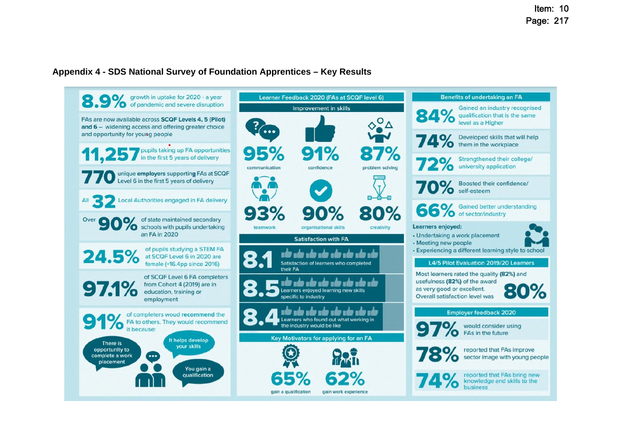### **Appendix 4 - SDS National Survey of Foundation Apprentices – Key Results**

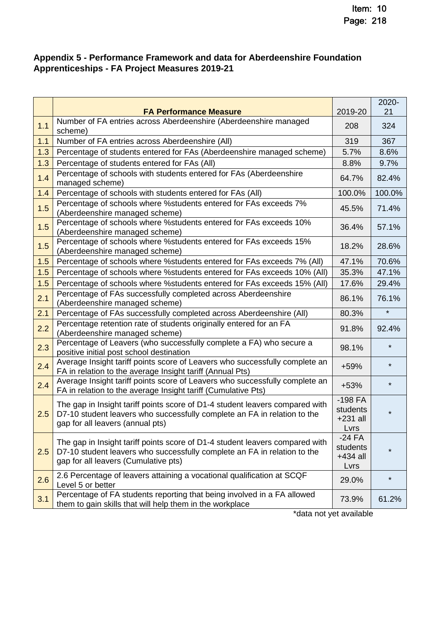### **Appendix 5 - Performance Framework and data for Aberdeenshire Foundation Apprenticeships - FA Project Measures 2019-21**

|     | <b>FA Performance Measure</b>                                                                                                                                                                    | 2019-20                                    | 2020-<br>21 |
|-----|--------------------------------------------------------------------------------------------------------------------------------------------------------------------------------------------------|--------------------------------------------|-------------|
| 1.1 | Number of FA entries across Aberdeenshire (Aberdeenshire managed<br>scheme)                                                                                                                      | 208                                        | 324         |
| 1.1 | Number of FA entries across Aberdeenshire (All)                                                                                                                                                  | 319                                        | 367         |
| 1.3 | Percentage of students entered for FAs (Aberdeenshire managed scheme)                                                                                                                            | 5.7%                                       | 8.6%        |
| 1.3 | Percentage of students entered for FAs (All)                                                                                                                                                     | 8.8%                                       | 9.7%        |
| 1.4 | Percentage of schools with students entered for FAs (Aberdeenshire<br>managed scheme)                                                                                                            | 64.7%                                      | 82.4%       |
| 1.4 | Percentage of schools with students entered for FAs (All)                                                                                                                                        | 100.0%                                     | 100.0%      |
| 1.5 | Percentage of schools where % students entered for FAs exceeds 7%<br>(Aberdeenshire managed scheme)                                                                                              | 45.5%                                      | 71.4%       |
| 1.5 | Percentage of schools where % students entered for FAs exceeds 10%<br>(Aberdeenshire managed scheme)                                                                                             | 36.4%                                      | 57.1%       |
| 1.5 | Percentage of schools where % students entered for FAs exceeds 15%<br>(Aberdeenshire managed scheme)                                                                                             | 18.2%                                      | 28.6%       |
| 1.5 | Percentage of schools where % students entered for FAs exceeds 7% (All)                                                                                                                          | 47.1%                                      | 70.6%       |
| 1.5 | Percentage of schools where % students entered for FAs exceeds 10% (All)                                                                                                                         | 35.3%                                      | 47.1%       |
| 1.5 | Percentage of schools where % students entered for FAs exceeds 15% (All)                                                                                                                         | 17.6%                                      | 29.4%       |
| 2.1 | Percentage of FAs successfully completed across Aberdeenshire<br>(Aberdeenshire managed scheme)                                                                                                  | 86.1%                                      | 76.1%       |
| 2.1 | Percentage of FAs successfully completed across Aberdeenshire (All)                                                                                                                              | 80.3%                                      | $\star$     |
| 2.2 | Percentage retention rate of students originally entered for an FA<br>(Aberdeenshire managed scheme)                                                                                             | 91.8%                                      | 92.4%       |
| 2.3 | Percentage of Leavers (who successfully complete a FA) who secure a<br>positive initial post school destination                                                                                  | 98.1%                                      | $\star$     |
| 2.4 | Average Insight tariff points score of Leavers who successfully complete an<br>FA in relation to the average Insight tariff (Annual Pts)                                                         | +59%                                       | $\star$     |
| 2.4 | Average Insight tariff points score of Leavers who successfully complete an<br>FA in relation to the average Insight tariff (Cumulative Pts)                                                     | $+53%$                                     | $\star$     |
| 2.5 | The gap in Insight tariff points score of D1-4 student leavers compared with<br>D7-10 student leavers who successfully complete an FA in relation to the<br>gap for all leavers (annual pts)     | $-198FA$<br>students<br>$+231$ all<br>Lvrs | $\star$     |
| 2.5 | The gap in Insight tariff points score of D1-4 student leavers compared with<br>D7-10 student leavers who successfully complete an FA in relation to the<br>gap for all leavers (Cumulative pts) | $-24FA$<br>students<br>$+434$ all<br>Lvrs  | $\star$     |
| 2.6 | 2.6 Percentage of leavers attaining a vocational qualification at SCQF<br>Level 5 or better                                                                                                      | 29.0%                                      | $\star$     |
| 3.1 | Percentage of FA students reporting that being involved in a FA allowed<br>them to gain skills that will help them in the workplace                                                              | 73.9%                                      | 61.2%       |

\*data not yet available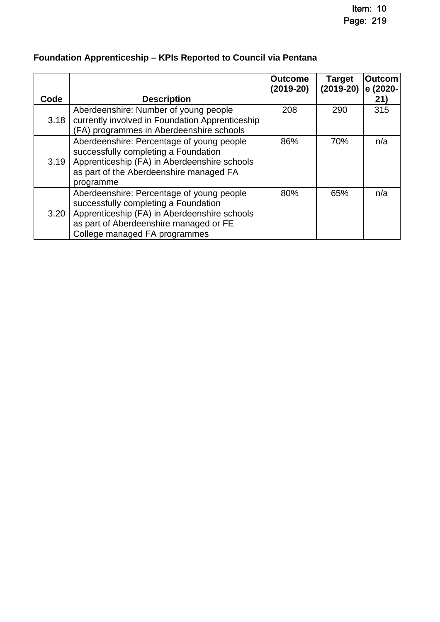|      |                                                                                                                                                                                                              | <b>Outcome</b><br>(2019-20) | <b>Target</b><br>$(2019-20)$ | Outcom<br>e (2020- |
|------|--------------------------------------------------------------------------------------------------------------------------------------------------------------------------------------------------------------|-----------------------------|------------------------------|--------------------|
| Code | <b>Description</b>                                                                                                                                                                                           |                             |                              | 21)                |
| 3.18 | Aberdeenshire: Number of young people<br>currently involved in Foundation Apprenticeship<br>(FA) programmes in Aberdeenshire schools                                                                         | 208                         | 290                          | 315                |
| 3.19 | Aberdeenshire: Percentage of young people<br>successfully completing a Foundation<br>Apprenticeship (FA) in Aberdeenshire schools<br>as part of the Aberdeenshire managed FA<br>programme                    | 86%                         | 70%                          | n/a                |
| 3.20 | Aberdeenshire: Percentage of young people<br>successfully completing a Foundation<br>Apprenticeship (FA) in Aberdeenshire schools<br>as part of Aberdeenshire managed or FE<br>College managed FA programmes | 80%                         | 65%                          | n/a                |

## **Foundation Apprenticeship – KPIs Reported to Council via Pentana**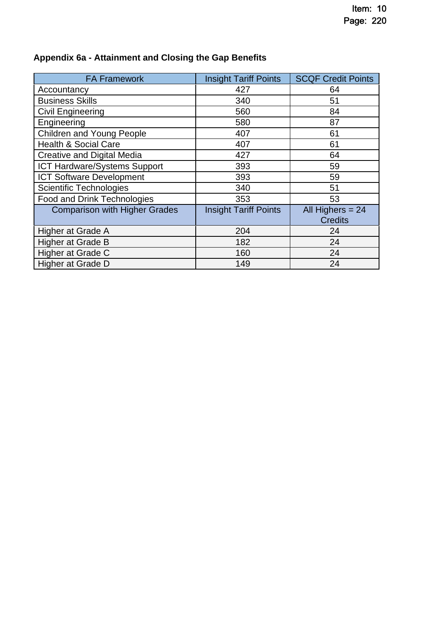| <b>FA Framework</b>                  | <b>Insight Tariff Points</b> | <b>SCQF Credit Points</b>            |
|--------------------------------------|------------------------------|--------------------------------------|
| Accountancy                          | 427                          | 64                                   |
| <b>Business Skills</b>               | 340                          | 51                                   |
| <b>Civil Engineering</b>             | 560                          | 84                                   |
| Engineering                          | 580                          | 87                                   |
| Children and Young People            | 407                          | 61                                   |
| <b>Health &amp; Social Care</b>      | 407                          | 61                                   |
| <b>Creative and Digital Media</b>    | 427                          | 64                                   |
| ICT Hardware/Systems Support         | 393                          | 59                                   |
| <b>ICT Software Development</b>      | 393                          | 59                                   |
| Scientific Technologies              | 340                          | 51                                   |
| <b>Food and Drink Technologies</b>   | 353                          | 53                                   |
| <b>Comparison with Higher Grades</b> | <b>Insight Tariff Points</b> | All Highers $= 24$<br><b>Credits</b> |
| Higher at Grade A                    | 204                          | 24                                   |
| <b>Higher at Grade B</b>             | 182                          | 24                                   |
| Higher at Grade C                    | 160                          | 24                                   |
| <b>Higher at Grade D</b>             | 149                          | 24                                   |

## **Appendix 6a - Attainment and Closing the Gap Benefits**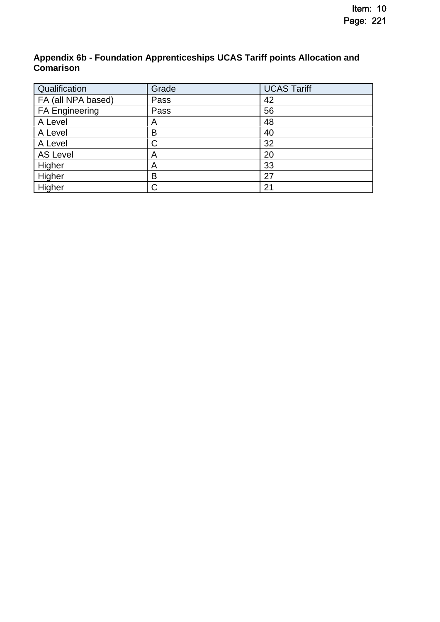### **Appendix 6b - Foundation Apprenticeships UCAS Tariff points Allocation and Comarison**

| Qualification         | Grade | <b>UCAS Tariff</b> |
|-----------------------|-------|--------------------|
| FA (all NPA based)    | Pass  | 42                 |
| <b>FA Engineering</b> | Pass  | 56                 |
| A Level               | Α     | 48                 |
| A Level               | В     | 40                 |
| A Level               | С     | 32                 |
| <b>AS Level</b>       | Α     | 20                 |
| Higher                | A     | 33                 |
| Higher                | В     | 27                 |
| Higher                | С     | 21                 |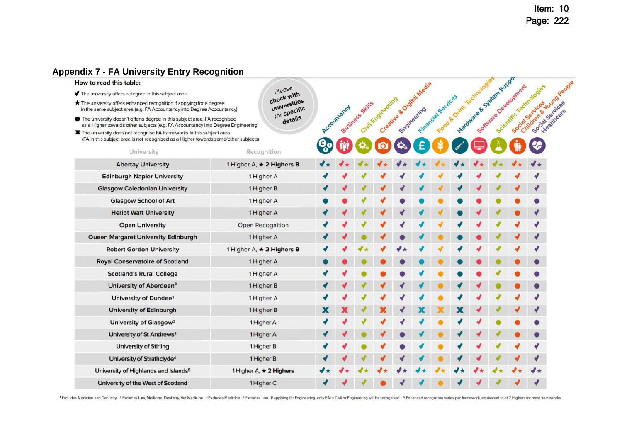### Item: 10 Page: 222

#### **Appendix 7 - [FA University Entry Recognition](https://www.skillsdevelopmentscotland.co.uk/media/46393/foundation-apprenticeship-to-degree-opportunity-march2021-1.pdf)**

#### How to read this table:

- The university offers a degree in this subject area
- The university offers enhanced recognition if applying for a degree

University of the West of Scotland

- 
- $\mathbf{x}$

| .                                                                                                                                                             |                              |             |                 |                   |                        |                    |                        |                                     |                      |                                                    |                 |
|---------------------------------------------------------------------------------------------------------------------------------------------------------------|------------------------------|-------------|-----------------|-------------------|------------------------|--------------------|------------------------|-------------------------------------|----------------------|----------------------------------------------------|-----------------|
| w to read this table:                                                                                                                                         |                              |             |                 |                   |                        |                    |                        |                                     |                      |                                                    |                 |
| The university offers a degree in this subject area                                                                                                           | Please<br>check with         |             |                 |                   |                        |                    |                        |                                     |                      |                                                    |                 |
| The university offers enhanced recognition if applying for a degree<br>n the same subject area (e.g. FA Accountancy into Degree Accountancy)                  | universities<br>for specific |             | Business Skills | Civil Engineering | Creative & Oldha Media | Financial Services | Food & Orinik Technolo | Liardshare & Strategy Start Support | Software Development | Children & Young Pennin<br>Scientific Technologies | Social Services |
| The university doesn't offer a degree in this subject area, FA recognised<br>as a Higher towards other subjects (e.g. FA Accountancy into Degree Engineering) | details                      | Accountancy |                 |                   |                        |                    |                        |                                     |                      |                                                    |                 |
| The university does not recognise FA frameworks in this subject area<br>(FA in this subject area is not recognised as a Higher towards same/other subjects)   |                              |             |                 |                   |                        |                    |                        |                                     |                      |                                                    |                 |
| University                                                                                                                                                    | Recognition                  |             |                 |                   |                        |                    |                        |                                     |                      |                                                    |                 |
| <b>Abertay University</b>                                                                                                                                     | 1 Higher A, * 2 Highers B    |             |                 |                   |                        |                    |                        |                                     |                      |                                                    |                 |
| <b>Edinburgh Napier University</b>                                                                                                                            | 1 Higher A                   |             |                 |                   |                        |                    |                        |                                     |                      |                                                    |                 |
| <b>Glasgow Caledonian University</b>                                                                                                                          | 1 Higher B                   |             |                 |                   |                        |                    |                        |                                     |                      |                                                    |                 |
| <b>Glasgow School of Art</b>                                                                                                                                  | 1 Higher A                   |             |                 |                   |                        |                    |                        |                                     |                      |                                                    |                 |
| <b>Heriot Watt University</b>                                                                                                                                 | 1 Higher A                   |             |                 |                   |                        |                    |                        |                                     |                      |                                                    |                 |
| <b>Open University</b>                                                                                                                                        | Open Recognition             |             |                 |                   |                        |                    |                        |                                     |                      |                                                    |                 |
| Queen Margaret University Edinburgh                                                                                                                           | 1 Higher A                   |             |                 |                   |                        |                    |                        |                                     |                      |                                                    |                 |
| <b>Robert Gordon University</b>                                                                                                                               | 1 Higher A, * 2 Highers B    |             |                 |                   |                        |                    |                        |                                     |                      |                                                    |                 |
| <b>Royal Conservatoire of Scotland</b>                                                                                                                        | 1 Higher A                   |             |                 |                   |                        |                    |                        |                                     |                      |                                                    |                 |
| <b>Scotland's Rural College</b>                                                                                                                               | 1 Higher A                   |             |                 |                   |                        |                    |                        |                                     |                      |                                                    |                 |
| University of Aberdeen <sup>3</sup>                                                                                                                           | 1 Higher B                   |             |                 |                   |                        |                    |                        |                                     |                      |                                                    |                 |
| University of Dundee <sup>1</sup>                                                                                                                             | 1 Higher A                   |             |                 |                   |                        |                    |                        |                                     |                      |                                                    |                 |
| <b>University of Edinburgh</b>                                                                                                                                | 1 Higher B                   |             |                 |                   |                        |                    |                        |                                     |                      |                                                    |                 |
| University of Glasgow <sup>2</sup>                                                                                                                            | 1 Higher A                   |             |                 |                   |                        |                    |                        |                                     |                      |                                                    |                 |
| University of St Andrews <sup>3</sup>                                                                                                                         | 1 Higher A                   |             |                 |                   |                        |                    |                        |                                     |                      |                                                    |                 |
| <b>University of Stirling</b>                                                                                                                                 | 1 Higher B                   |             |                 |                   |                        |                    |                        |                                     |                      |                                                    |                 |
| University of Strathclyde <sup>4</sup>                                                                                                                        | 1 Higher B                   |             |                 |                   |                        |                    |                        |                                     |                      |                                                    |                 |
| University of Highlands and Islands <sup>5</sup>                                                                                                              | 1 Higher A, * 2 Highers      |             |                 |                   |                        |                    |                        |                                     |                      |                                                    |                 |
|                                                                                                                                                               |                              |             |                 |                   |                        |                    |                        |                                     |                      |                                                    |                 |

<sup>1</sup> Excludes Medicine and Dentistry <sup>2</sup> Excludes Law, Medicine, Dentistry, Vet Medicine <sup>3</sup> Excludes Medicine et Sxcludes Law. If applying for Engineering, only FA in Civil or Engineering will be recognised <sup>5</sup> Enhanced re

1 Higher C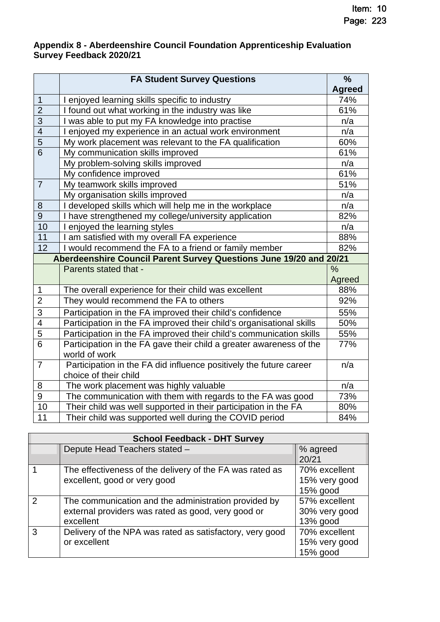### **Appendix 8 - Aberdeenshire Council Foundation Apprenticeship Evaluation Survey Feedback 2020/21**

|                | <b>FA Student Survey Questions</b>                                   | $\frac{9}{6}$ |
|----------------|----------------------------------------------------------------------|---------------|
|                |                                                                      | <b>Agreed</b> |
| $\mathbf 1$    | I enjoyed learning skills specific to industry                       | 74%           |
| $\overline{2}$ | I found out what working in the industry was like                    | 61%           |
| 3              | I was able to put my FA knowledge into practise                      | n/a           |
| $\overline{4}$ | I enjoyed my experience in an actual work environment                | n/a           |
| $\overline{5}$ | My work placement was relevant to the FA qualification               | 60%           |
| $\overline{6}$ | My communication skills improved                                     | 61%           |
|                | My problem-solving skills improved                                   | n/a           |
|                | My confidence improved                                               | 61%           |
| $\overline{7}$ | My teamwork skills improved                                          | 51%           |
|                | My organisation skills improved                                      | n/a           |
| 8              | I developed skills which will help me in the workplace               | n/a           |
| $\overline{9}$ | I have strengthened my college/university application                | 82%           |
| 10             | enjoyed the learning styles                                          | n/a           |
| 11             | I am satisfied with my overall FA experience                         | 88%           |
| 12             | I would recommend the FA to a friend or family member                | 82%           |
|                | Aberdeenshire Council Parent Survey Questions June 19/20 and 20/21   |               |
|                | Parents stated that -                                                | $\frac{0}{0}$ |
|                |                                                                      | Agreed        |
| 1              | The overall experience for their child was excellent                 | 88%           |
| $\overline{2}$ | They would recommend the FA to others                                | 92%           |
| 3              | Participation in the FA improved their child's confidence            | 55%           |
| 4              | Participation in the FA improved their child's organisational skills | 50%           |
| $\overline{5}$ | Participation in the FA improved their child's communication skills  | 55%           |
| $\overline{6}$ | Participation in the FA gave their child a greater awareness of the  | 77%           |
|                | world of work                                                        |               |
| $\overline{7}$ | Participation in the FA did influence positively the future career   | n/a           |
|                | choice of their child                                                |               |
| 8              | The work placement was highly valuable                               | n/a           |
| $\overline{9}$ | The communication with them with regards to the FA was good          | 73%           |
| 10             | Their child was well supported in their participation in the FA      | 80%           |
| 11             | Their child was supported well during the COVID period               | 84%           |

|   | <b>School Feedback - DHT Survey</b>                                                                                     |                                            |  |  |  |  |
|---|-------------------------------------------------------------------------------------------------------------------------|--------------------------------------------|--|--|--|--|
|   | Depute Head Teachers stated -                                                                                           | % agreed<br>20/21                          |  |  |  |  |
|   | The effectiveness of the delivery of the FA was rated as<br>excellent, good or very good                                | 70% excellent<br>15% very good<br>15% good |  |  |  |  |
| 2 | The communication and the administration provided by<br>external providers was rated as good, very good or<br>excellent | 57% excellent<br>30% very good<br>13% good |  |  |  |  |
| 3 | Delivery of the NPA was rated as satisfactory, very good<br>or excellent                                                | 70% excellent<br>15% very good<br>15% good |  |  |  |  |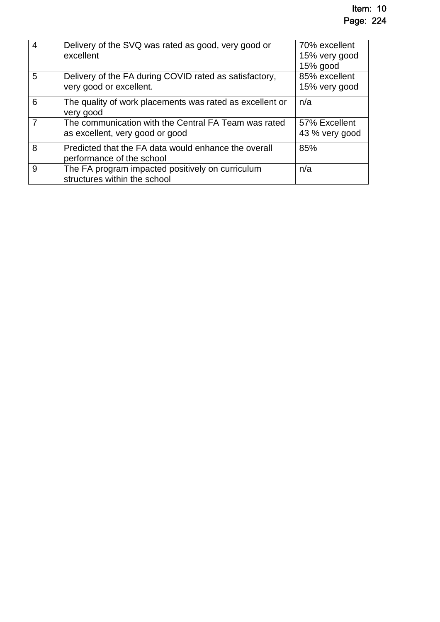| $\overline{4}$ | Delivery of the SVQ was rated as good, very good or<br>excellent                        | 70% excellent<br>15% very good<br>$15%$ good |
|----------------|-----------------------------------------------------------------------------------------|----------------------------------------------|
| 5              | Delivery of the FA during COVID rated as satisfactory,<br>very good or excellent.       | 85% excellent<br>15% very good               |
| 6              | The quality of work placements was rated as excellent or<br>very good                   | n/a                                          |
| 7              | The communication with the Central FA Team was rated<br>as excellent, very good or good | 57% Excellent<br>43 % very good              |
| 8              | Predicted that the FA data would enhance the overall<br>performance of the school       | 85%                                          |
| 9              | The FA program impacted positively on curriculum<br>structures within the school        | n/a                                          |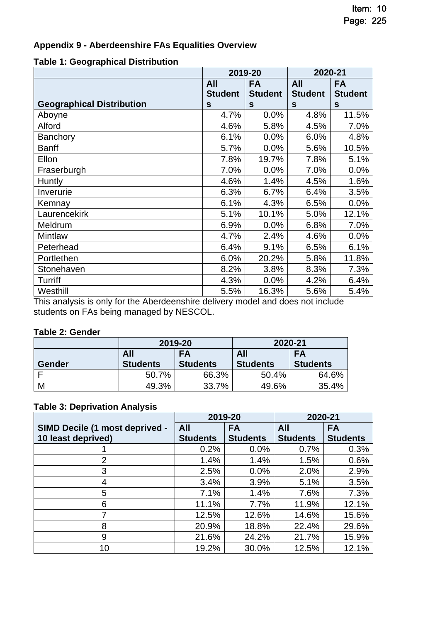### **Appendix 9 - Aberdeenshire FAs Equalities Overview**

### **Table 1: Geographical Distribution**

|                                  | 2019-20        |                  | 2020-21        |                |
|----------------------------------|----------------|------------------|----------------|----------------|
|                                  | All            | <b>FA</b><br>All |                | <b>FA</b>      |
|                                  | <b>Student</b> | <b>Student</b>   | <b>Student</b> | <b>Student</b> |
| <b>Geographical Distribution</b> | S              | S                | S              | S              |
| Aboyne                           | 4.7%           | 0.0%             | 4.8%           | 11.5%          |
| Alford                           | 4.6%           | 5.8%             | 4.5%           | 7.0%           |
| <b>Banchory</b>                  | 6.1%           | 0.0%             | 6.0%           | 4.8%           |
| <b>Banff</b>                     | 5.7%           | 0.0%             | 5.6%           | 10.5%          |
| Ellon                            | 7.8%           | 19.7%            | 7.8%           | 5.1%           |
| Fraserburgh                      | 7.0%           | 0.0%             | 7.0%           | 0.0%           |
| <b>Huntly</b>                    | 4.6%           | 1.4%             | 4.5%           | 1.6%           |
| Inverurie                        | 6.3%           | 6.7%             | 6.4%           | 3.5%           |
| Kemnay                           | 6.1%           | 4.3%             | 6.5%           | 0.0%           |
| Laurencekirk                     | 5.1%           | 10.1%            | 5.0%           | 12.1%          |
| Meldrum                          | 6.9%           | 0.0%             | 6.8%           | 7.0%           |
| Mintlaw                          | 4.7%           | 2.4%             | 4.6%           | 0.0%           |
| Peterhead                        | 6.4%           | 9.1%             | 6.5%           | 6.1%           |
| Portlethen                       | 6.0%           | 20.2%            | 5.8%           | 11.8%          |
| Stonehaven                       | 8.2%           | 3.8%             | 8.3%           | 7.3%           |
| Turriff                          | 4.3%           | 0.0%             | 4.2%           | 6.4%           |
| Westhill                         | 5.5%           | 16.3%            | 5.6%           | 5.4%           |

This analysis is only for the Aberdeenshire delivery model and does not include students on FAs being managed by NESCOL.

### **Table 2: Gender**

|        |                 | 2019-20         | 2020-21         |                 |  |  |  |
|--------|-----------------|-----------------|-----------------|-----------------|--|--|--|
|        | All             | FA              | All             | <b>FA</b>       |  |  |  |
| Gender | <b>Students</b> | <b>Students</b> | <b>Students</b> | <b>Students</b> |  |  |  |
|        | 50.7%           | 66.3%           | 50.4%           | 64.6%           |  |  |  |
| M      | 49.3%           | 33.7%           | 49.6%           | 35.4%           |  |  |  |

### **Table 3: Deprivation Analysis**

|                                | 2019-20         |                 | 2020-21         |                 |
|--------------------------------|-----------------|-----------------|-----------------|-----------------|
| SIMD Decile (1 most deprived - | All             | <b>FA</b>       | All             | <b>FA</b>       |
| 10 least deprived)             | <b>Students</b> | <b>Students</b> | <b>Students</b> | <b>Students</b> |
|                                | 0.2%            | 0.0%            | 0.7%            | 0.3%            |
| 2                              | 1.4%            | 1.4%            | 1.5%            | 0.6%            |
| 3                              | 2.5%            | 0.0%            | 2.0%            | 2.9%            |
| 4                              | 3.4%            | 3.9%            | 5.1%            | 3.5%            |
| 5                              | 7.1%            | 1.4%            | 7.6%            | 7.3%            |
| 6                              | 11.1%           | 7.7%            | 11.9%           | 12.1%           |
|                                | 12.5%           | 12.6%           | 14.6%           | 15.6%           |
| 8                              | 20.9%           | 18.8%           | 22.4%           | 29.6%           |
| 9                              | 21.6%           | 24.2%           | 21.7%           | 15.9%           |
| 10                             | 19.2%           | 30.0%           | 12.5%           | 12.1%           |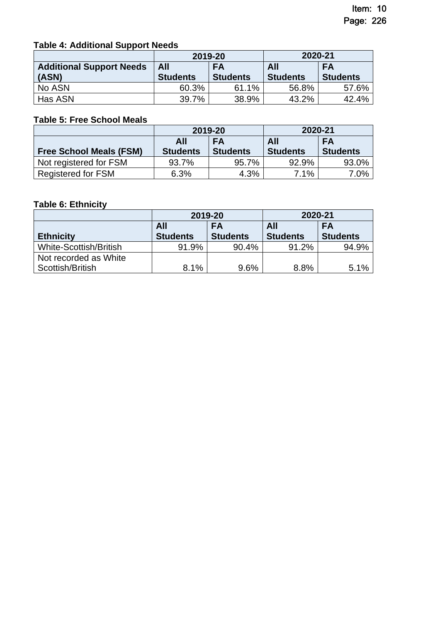### **Table 4: Additional Support Needs**

|                                 | 2019-20         |                 | 2020-21         |                 |
|---------------------------------|-----------------|-----------------|-----------------|-----------------|
| <b>Additional Support Needs</b> | All             | <b>FA</b>       | <b>All</b>      | <b>FA</b>       |
| (ASN)                           | <b>Students</b> | <b>Students</b> | <b>Students</b> | <b>Students</b> |
| No ASN                          | 60.3%           | 61.1%           | 56.8%           | 57.6%           |
| Has ASN                         | 39.7%           | 38.9%           | 43.2%           | 42.4%           |

### **Table 5: Free School Meals**

|                                | 2019-20         |                 | 2020-21         |                 |
|--------------------------------|-----------------|-----------------|-----------------|-----------------|
|                                | All             | <b>FA</b>       | All             | <b>FA</b>       |
| <b>Free School Meals (FSM)</b> | <b>Students</b> | <b>Students</b> | <b>Students</b> | <b>Students</b> |
| Not registered for FSM         | 93.7%           | 95.7%           | 92.9%           | 93.0%           |
| <b>Registered for FSM</b>      | 6.3%            | 4.3%            | 7.1%            | 7.0%            |

### **Table 6: Ethnicity**

|                               | 2019-20         |                 | 2020-21         |                 |
|-------------------------------|-----------------|-----------------|-----------------|-----------------|
|                               | All             | <b>FA</b>       | All             | <b>FA</b>       |
| <b>Ethnicity</b>              | <b>Students</b> | <b>Students</b> | <b>Students</b> | <b>Students</b> |
| <b>White-Scottish/British</b> | 91.9%           | 90.4%           | 91.2%           | 94.9%           |
| Not recorded as White         |                 |                 |                 |                 |
| Scottish/British              | 8.1%            | 9.6%            | 8.8%            | 5.1%            |